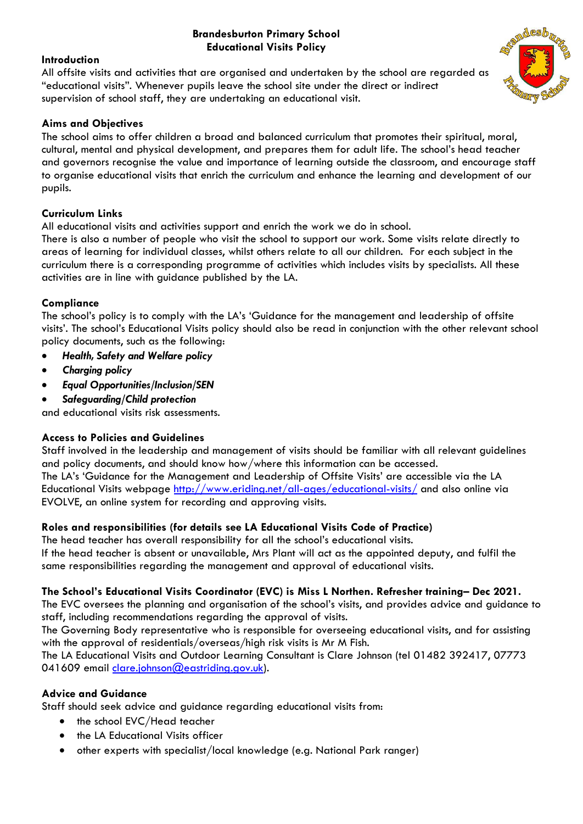### **Brandesburton Primary School Educational Visits Policy**

# **Introduction**

All offsite visits and activities that are organised and undertaken by the school are regarded as "educational visits". Whenever pupils leave the school site under the direct or indirect supervision of school staff, they are undertaking an educational visit.

# **Aims and Objectives**

The school aims to offer children a broad and balanced curriculum that promotes their spiritual, moral, cultural, mental and physical development, and prepares them for adult life. The school's head teacher and governors recognise the value and importance of learning outside the classroom, and encourage staff to organise educational visits that enrich the curriculum and enhance the learning and development of our pupils.

# **Curriculum Links**

All educational visits and activities support and enrich the work we do in school.

There is also a number of people who visit the school to support our work. Some visits relate directly to areas of learning for individual classes, whilst others relate to all our children. For each subject in the curriculum there is a corresponding programme of activities which includes visits by specialists. All these activities are in line with guidance published by the LA.

# **Compliance**

The school's policy is to comply with the LA's 'Guidance for the management and leadership of offsite visits'. The school's Educational Visits policy should also be read in conjunction with the other relevant school policy documents, such as the following:

- *Health, Safety and Welfare policy*
- *Charging policy*
- *Equal Opportunities/Inclusion/SEN*
- *Safeguarding/Child protection*

and educational visits risk assessments.

### **Access to Policies and Guidelines**

Staff involved in the leadership and management of visits should be familiar with all relevant guidelines and policy documents, and should know how/where this information can be accessed. The LA's 'Guidance for the Management and Leadership of Offsite Visits' are accessible via the LA Educational Visits webpage<http://www.eriding.net/all-ages/educational-visits/> and also online via EVOLVE, an online system for recording and approving visits.

### **Roles and responsibilities (for details see LA Educational Visits Code of Practice)**

The head teacher has overall responsibility for all the school's educational visits. If the head teacher is absent or unavailable, Mrs Plant will act as the appointed deputy, and fulfil the same responsibilities regarding the management and approval of educational visits.

### **The School's Educational Visits Coordinator (EVC) is Miss L Northen. Refresher training– Dec 2021.**

The EVC oversees the planning and organisation of the school's visits, and provides advice and guidance to staff, including recommendations regarding the approval of visits.

The Governing Body representative who is responsible for overseeing educational visits, and for assisting with the approval of residentials/overseas/high risk visits is Mr M Fish.

The LA Educational Visits and Outdoor Learning Consultant is Clare Johnson (tel 01482 392417, 07773 041609 email [clare.johnson@eastriding.gov.uk\)](mailto:clare.johnson@eastriding.gov.uk).

# **Advice and Guidance**

Staff should seek advice and guidance regarding educational visits from:

- the school EVC/Head teacher
- the LA Educational Visits officer
- other experts with specialist/local knowledge (e.g. National Park ranger)

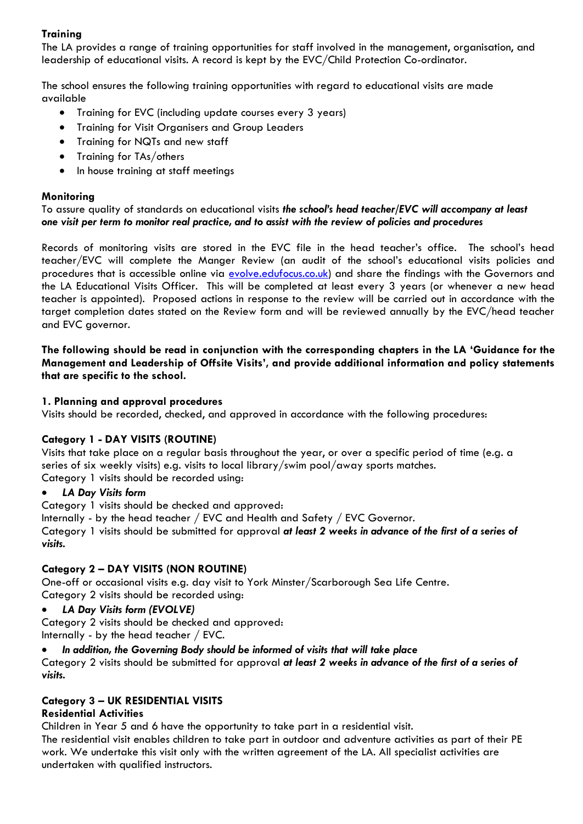# **Training**

The LA provides a range of training opportunities for staff involved in the management, organisation, and leadership of educational visits. A record is kept by the EVC/Child Protection Co-ordinator.

The school ensures the following training opportunities with regard to educational visits are made available

- Training for EVC (including update courses every 3 years)
- Training for Visit Organisers and Group Leaders
- Training for NQTs and new staff
- Training for TAs/others
- In house training at staff meetings

### **Monitoring**

To assure quality of standards on educational visits *the school's head teacher/EVC will accompany at least one visit per term to monitor real practice, and to assist with the review of policies and procedures*

Records of monitoring visits are stored in the EVC file in the head teacher's office. The school's head teacher/EVC will complete the Manger Review (an audit of the school's educational visits policies and procedures that is accessible online via [evolve.edufocus.c](http://www.eriding.net/educationalvisits)o.uk) and share the findings with the Governors and the LA Educational Visits Officer. This will be completed at least every 3 years (or whenever a new head teacher is appointed). Proposed actions in response to the review will be carried out in accordance with the target completion dates stated on the Review form and will be reviewed annually by the EVC/head teacher and EVC governor.

**The following should be read in conjunction with the corresponding chapters in the LA 'Guidance for the Management and Leadership of Offsite Visits', and provide additional information and policy statements that are specific to the school.**

#### **1. Planning and approval procedures**

Visits should be recorded, checked, and approved in accordance with the following procedures:

### **Category 1 - DAY VISITS (ROUTINE)**

Visits that take place on a regular basis throughout the year, or over a specific period of time (e.g. a series of six weekly visits) e.g. visits to local library/swim pool/away sports matches. Category 1 visits should be recorded using:

### • *LA Day Visits form*

Category 1 visits should be checked and approved:

Internally - by the head teacher / EVC and Health and Safety / EVC Governor.

Category 1 visits should be submitted for approval *at least 2 weeks in advance of the first of a series of visits.*

### **Category 2 – DAY VISITS (NON ROUTINE)**

One-off or occasional visits e.g. day visit to York Minster/Scarborough Sea Life Centre. Category 2 visits should be recorded using:

• *LA Day Visits form (EVOLVE)*

Category 2 visits should be checked and approved: Internally - by the head teacher / EVC.

# • *In addition, the Governing Body should be informed of visits that will take place*

Category 2 visits should be submitted for approval *at least 2 weeks in advance of the first of a series of visits.*

### **Category 3 – UK RESIDENTIAL VISITS**

### **Residential Activities**

Children in Year 5 and 6 have the opportunity to take part in a residential visit.

The residential visit enables children to take part in outdoor and adventure activities as part of their PE work. We undertake this visit only with the written agreement of the LA. All specialist activities are undertaken with qualified instructors.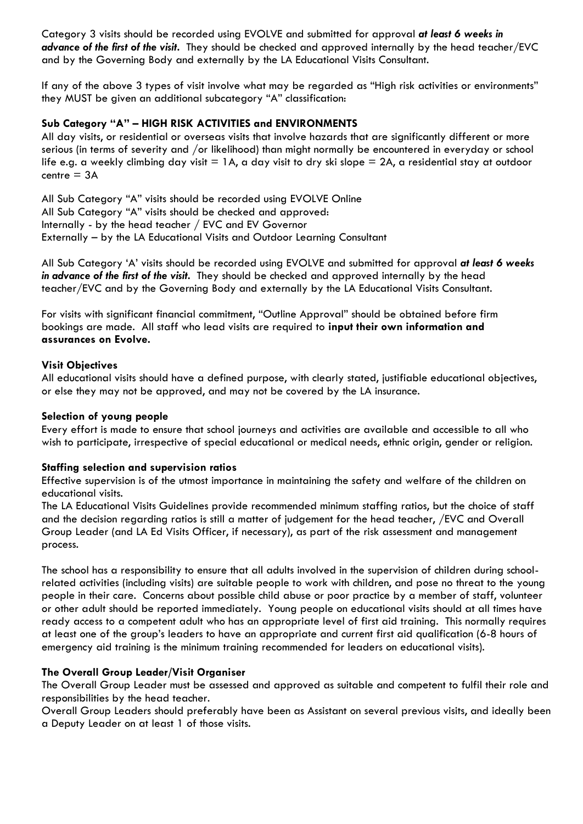Category 3 visits should be recorded using EVOLVE and submitted for approval *at least 6 weeks in advance of the first of the visit.* They should be checked and approved internally by the head teacher/EVC and by the Governing Body and externally by the LA Educational Visits Consultant.

If any of the above 3 types of visit involve what may be regarded as "High risk activities or environments" they MUST be given an additional subcategory "A" classification:

#### **Sub Category "A" – HIGH RISK ACTIVITIES and ENVIRONMENTS**

All day visits, or residential or overseas visits that involve hazards that are significantly different or more serious (in terms of severity and /or likelihood) than might normally be encountered in everyday or school life e.g. a weekly climbing day visit  $= 1$ A, a day visit to dry ski slope  $= 2A$ , a residential stay at outdoor  $centre = 3A$ 

All Sub Category "A" visits should be recorded using EVOLVE Online All Sub Category "A" visits should be checked and approved: Internally - by the head teacher / EVC and EV Governor Externally – by the LA Educational Visits and Outdoor Learning Consultant

All Sub Category 'A' visits should be recorded using EVOLVE and submitted for approval *at least 6 weeks in advance of the first of the visit.* They should be checked and approved internally by the head teacher/EVC and by the Governing Body and externally by the LA Educational Visits Consultant.

For visits with significant financial commitment, "Outline Approval" should be obtained before firm bookings are made. All staff who lead visits are required to **input their own information and assurances on Evolve.**

#### **Visit Objectives**

All educational visits should have a defined purpose, with clearly stated, justifiable educational objectives, or else they may not be approved, and may not be covered by the LA insurance.

#### **Selection of young people**

Every effort is made to ensure that school journeys and activities are available and accessible to all who wish to participate, irrespective of special educational or medical needs, ethnic origin, gender or religion.

### **Staffing selection and supervision ratios**

Effective supervision is of the utmost importance in maintaining the safety and welfare of the children on educational visits.

The LA Educational Visits Guidelines provide recommended minimum staffing ratios, but the choice of staff and the decision regarding ratios is still a matter of judgement for the head teacher, /EVC and Overall Group Leader (and LA Ed Visits Officer, if necessary), as part of the risk assessment and management process.

The school has a responsibility to ensure that all adults involved in the supervision of children during schoolrelated activities (including visits) are suitable people to work with children, and pose no threat to the young people in their care. Concerns about possible child abuse or poor practice by a member of staff, volunteer or other adult should be reported immediately. Young people on educational visits should at all times have ready access to a competent adult who has an appropriate level of first aid training. This normally requires at least one of the group's leaders to have an appropriate and current first aid qualification (6-8 hours of emergency aid training is the minimum training recommended for leaders on educational visits).

### **The Overall Group Leader/Visit Organiser**

The Overall Group Leader must be assessed and approved as suitable and competent to fulfil their role and responsibilities by the head teacher.

Overall Group Leaders should preferably have been as Assistant on several previous visits, and ideally been a Deputy Leader on at least 1 of those visits.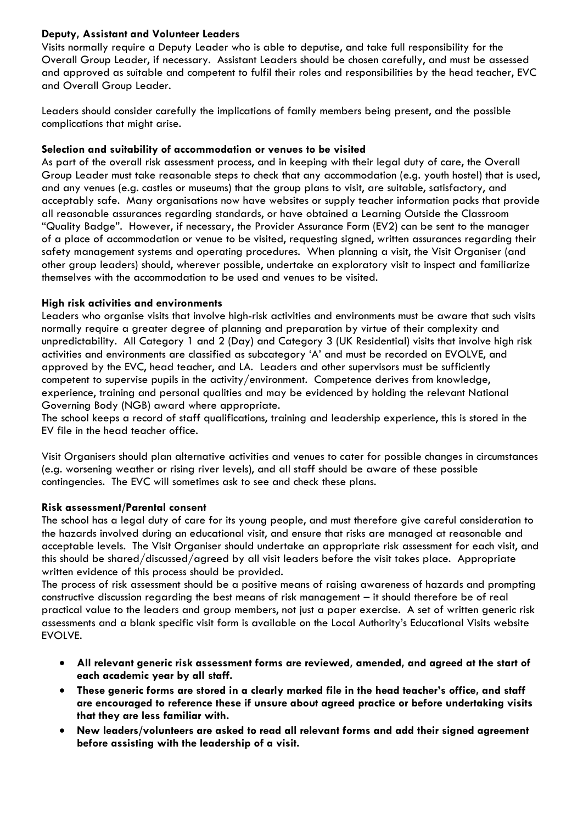## **Deputy, Assistant and Volunteer Leaders**

Visits normally require a Deputy Leader who is able to deputise, and take full responsibility for the Overall Group Leader, if necessary. Assistant Leaders should be chosen carefully, and must be assessed and approved as suitable and competent to fulfil their roles and responsibilities by the head teacher, EVC and Overall Group Leader.

Leaders should consider carefully the implications of family members being present, and the possible complications that might arise.

### **Selection and suitability of accommodation or venues to be visited**

As part of the overall risk assessment process, and in keeping with their legal duty of care, the Overall Group Leader must take reasonable steps to check that any accommodation (e.g. youth hostel) that is used, and any venues (e.g. castles or museums) that the group plans to visit, are suitable, satisfactory, and acceptably safe. Many organisations now have websites or supply teacher information packs that provide all reasonable assurances regarding standards, or have obtained a Learning Outside the Classroom "Quality Badge". However, if necessary, the Provider Assurance Form (EV2) can be sent to the manager of a place of accommodation or venue to be visited, requesting signed, written assurances regarding their safety management systems and operating procedures. When planning a visit, the Visit Organiser (and other group leaders) should, wherever possible, undertake an exploratory visit to inspect and familiarize themselves with the accommodation to be used and venues to be visited.

#### **High risk activities and environments**

Leaders who organise visits that involve high-risk activities and environments must be aware that such visits normally require a greater degree of planning and preparation by virtue of their complexity and unpredictability. All Category 1 and 2 (Day) and Category 3 (UK Residential) visits that involve high risk activities and environments are classified as subcategory 'A' and must be recorded on EVOLVE, and approved by the EVC, head teacher, and LA. Leaders and other supervisors must be sufficiently competent to supervise pupils in the activity/environment. Competence derives from knowledge, experience, training and personal qualities and may be evidenced by holding the relevant National Governing Body (NGB) award where appropriate.

The school keeps a record of staff qualifications, training and leadership experience, this is stored in the EV file in the head teacher office.

Visit Organisers should plan alternative activities and venues to cater for possible changes in circumstances (e.g. worsening weather or rising river levels), and all staff should be aware of these possible contingencies. The EVC will sometimes ask to see and check these plans.

### **Risk assessment/Parental consent**

The school has a legal duty of care for its young people, and must therefore give careful consideration to the hazards involved during an educational visit, and ensure that risks are managed at reasonable and acceptable levels. The Visit Organiser should undertake an appropriate risk assessment for each visit, and this should be shared/discussed/agreed by all visit leaders before the visit takes place. Appropriate written evidence of this process should be provided.

The process of risk assessment should be a positive means of raising awareness of hazards and prompting constructive discussion regarding the best means of risk management – it should therefore be of real practical value to the leaders and group members, not just a paper exercise. A set of written generic risk assessments and a blank specific visit form is available on the Local Authority's Educational Visits website EVOLVE.

- **All relevant generic risk assessment forms are reviewed, amended, and agreed at the start of each academic year by all staff.**
- **These generic forms are stored in a clearly marked file in the head teacher's office, and staff are encouraged to reference these if unsure about agreed practice or before undertaking visits that they are less familiar with.**
- **New leaders/volunteers are asked to read all relevant forms and add their signed agreement before assisting with the leadership of a visit.**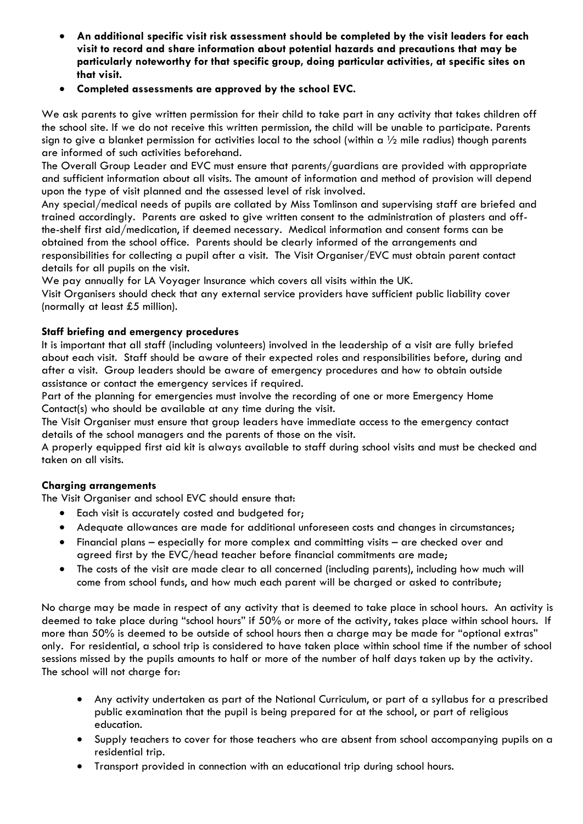- **An additional specific visit risk assessment should be completed by the visit leaders for each visit to record and share information about potential hazards and precautions that may be particularly noteworthy for that specific group, doing particular activities, at specific sites on that visit.**
- **Completed assessments are approved by the school EVC.**

We ask parents to give written permission for their child to take part in any activity that takes children off the school site. If we do not receive this written permission, the child will be unable to participate. Parents sign to give a blanket permission for activities local to the school (within a  $\frac{1}{2}$  mile radius) though parents are informed of such activities beforehand.

The Overall Group Leader and EVC must ensure that parents/guardians are provided with appropriate and sufficient information about all visits. The amount of information and method of provision will depend upon the type of visit planned and the assessed level of risk involved.

Any special/medical needs of pupils are collated by Miss Tomlinson and supervising staff are briefed and trained accordingly. Parents are asked to give written consent to the administration of plasters and offthe-shelf first aid/medication, if deemed necessary. Medical information and consent forms can be obtained from the school office. Parents should be clearly informed of the arrangements and responsibilities for collecting a pupil after a visit. The Visit Organiser/EVC must obtain parent contact details for all pupils on the visit.

We pay annually for LA Voyager Insurance which covers all visits within the UK.

Visit Organisers should check that any external service providers have sufficient public liability cover (normally at least £5 million).

### **Staff briefing and emergency procedures**

It is important that all staff (including volunteers) involved in the leadership of a visit are fully briefed about each visit. Staff should be aware of their expected roles and responsibilities before, during and after a visit. Group leaders should be aware of emergency procedures and how to obtain outside assistance or contact the emergency services if required.

Part of the planning for emergencies must involve the recording of one or more Emergency Home Contact(s) who should be available at any time during the visit.

The Visit Organiser must ensure that group leaders have immediate access to the emergency contact details of the school managers and the parents of those on the visit.

A properly equipped first aid kit is always available to staff during school visits and must be checked and taken on all visits.

### **Charging arrangements**

The Visit Organiser and school EVC should ensure that:

- Each visit is accurately costed and budgeted for;
- Adequate allowances are made for additional unforeseen costs and changes in circumstances;
- Financial plans especially for more complex and committing visits are checked over and agreed first by the EVC/head teacher before financial commitments are made;
- The costs of the visit are made clear to all concerned (including parents), including how much will come from school funds, and how much each parent will be charged or asked to contribute;

No charge may be made in respect of any activity that is deemed to take place in school hours. An activity is deemed to take place during "school hours" if 50% or more of the activity, takes place within school hours. If more than 50% is deemed to be outside of school hours then a charge may be made for "optional extras" only. For residential, a school trip is considered to have taken place within school time if the number of school sessions missed by the pupils amounts to half or more of the number of half days taken up by the activity. The school will not charge for:

- Any activity undertaken as part of the National Curriculum, or part of a syllabus for a prescribed public examination that the pupil is being prepared for at the school, or part of religious education.
- Supply teachers to cover for those teachers who are absent from school accompanying pupils on a residential trip.
- Transport provided in connection with an educational trip during school hours.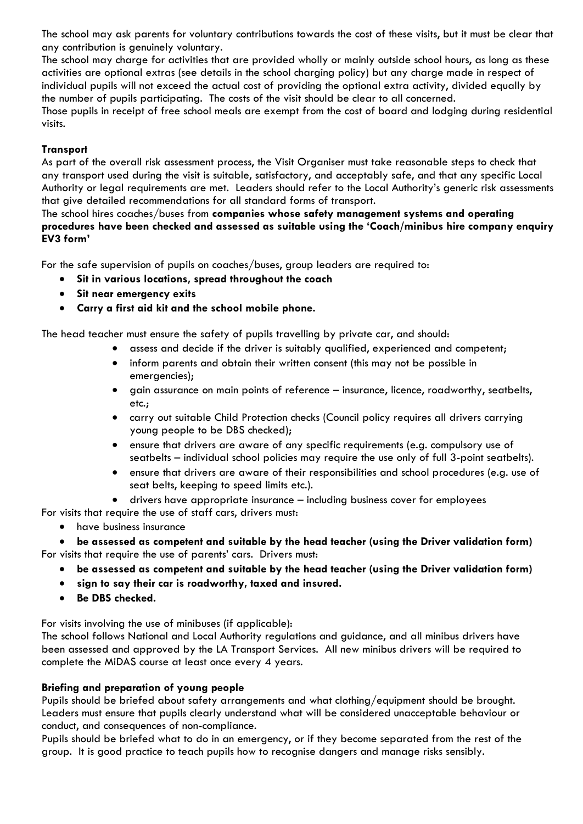The school may ask parents for voluntary contributions towards the cost of these visits, but it must be clear that any contribution is genuinely voluntary.

The school may charge for activities that are provided wholly or mainly outside school hours, as long as these activities are optional extras (see details in the school charging policy) but any charge made in respect of individual pupils will not exceed the actual cost of providing the optional extra activity, divided equally by the number of pupils participating. The costs of the visit should be clear to all concerned.

Those pupils in receipt of free school meals are exempt from the cost of board and lodging during residential visits.

### **Transport**

As part of the overall risk assessment process, the Visit Organiser must take reasonable steps to check that any transport used during the visit is suitable, satisfactory, and acceptably safe, and that any specific Local Authority or legal requirements are met. Leaders should refer to the Local Authority's generic risk assessments that give detailed recommendations for all standard forms of transport.

The school hires coaches/buses from **companies whose safety management systems and operating procedures have been checked and assessed as suitable using the 'Coach/minibus hire company enquiry EV3 form'**

For the safe supervision of pupils on coaches/buses, group leaders are required to:

- **Sit in various locations, spread throughout the coach**
- **Sit near emergency exits**
- **Carry a first aid kit and the school mobile phone.**

The head teacher must ensure the safety of pupils travelling by private car, and should:

- assess and decide if the driver is suitably qualified, experienced and competent;
- inform parents and obtain their written consent (this may not be possible in emergencies);
- gain assurance on main points of reference insurance, licence, roadworthy, seatbelts, etc.;
- carry out suitable Child Protection checks (Council policy requires all drivers carrying young people to be DBS checked);
- ensure that drivers are aware of any specific requirements (e.g. compulsory use of seatbelts – individual school policies may require the use only of full 3-point seatbelts).
- ensure that drivers are aware of their responsibilities and school procedures (e.g. use of seat belts, keeping to speed limits etc.).

• drivers have appropriate insurance – including business cover for employees

- For visits that require the use of staff cars, drivers must:
	- have business insurance

• **be assessed as competent and suitable by the head teacher (using the Driver validation form)** For visits that require the use of parents' cars. Drivers must:

- **be assessed as competent and suitable by the head teacher (using the Driver validation form)**
- **sign to say their car is roadworthy, taxed and insured.**
- **Be DBS checked.**

For visits involving the use of minibuses (if applicable):

The school follows National and Local Authority regulations and guidance, and all minibus drivers have been assessed and approved by the LA Transport Services. All new minibus drivers will be required to complete the MiDAS course at least once every 4 years.

### **Briefing and preparation of young people**

Pupils should be briefed about safety arrangements and what clothing/equipment should be brought. Leaders must ensure that pupils clearly understand what will be considered unacceptable behaviour or conduct, and consequences of non-compliance.

Pupils should be briefed what to do in an emergency, or if they become separated from the rest of the group. It is good practice to teach pupils how to recognise dangers and manage risks sensibly.